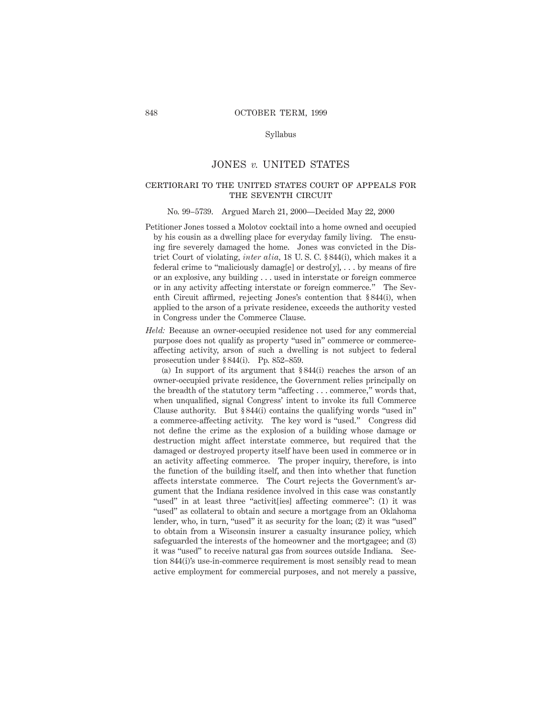# Syllabus

# JONES *v.* UNITED STATES

# certiorari to the united states court of appeals forTHE SEVENTH CIRCUIT

#### No. 99–5739. Argued March 21, 2000—Decided May 22, 2000

- Petitioner Jones tossed a Molotov cocktail into a home owned and occupied by his cousin as a dwelling place for everyday family living. The ensuing fire severely damaged the home. Jones was convicted in the District Court of violating, *inter alia,* 18 U. S. C. § 844(i), which makes it a federal crime to "maliciously damagel" or destroly],  $\dots$  by means of fire or an explosive, any building... used in interstate or foreign commerce or in any activity affecting interstate or foreign commerce." The Seventh Circuit affirmed, rejecting Jones's contention that § 844(i), when applied to the arson of a private residence, exceeds the authority vested in Congress under the Commerce Clause.
- *Held:* Because an owner-occupied residence not used for any commercial purpose does not qualify as property "used in" commerce or commerceaffecting activity, arson of such a dwelling is not subject to federal prosecution under § 844(i). Pp. 852–859.

(a) In support of its argument that § 844(i) reaches the arson of an owner-occupied private residence, the Government relies principally on the breadth of the statutory term "affecting... commerce," words that, when unqualified, signal Congress' intent to invoke its full Commerce Clause authority. But § 844(i) contains the qualifying words "used in" a commerce-affecting activity. The key word is "used." Congress did not define the crime as the explosion of a building whose damage or destruction might affect interstate commerce, but required that the damaged or destroyed property itself have been used in commerce or in an activity affecting commerce. The proper inquiry, therefore, is into the function of the building itself, and then into whether that function affects interstate commerce. The Court rejects the Government's argument that the Indiana residence involved in this case was constantly "used" in at least three "activit [ies] affecting commerce": (1) it was "used" as collateral to obtain and secure a mortgage from an Oklahoma lender, who, in turn, "used" it as security for the loan; (2) it was "used" to obtain from a Wisconsin insurer a casualty insurance policy, which safeguarded the interests of the homeowner and the mortgagee; and (3) it was "used" to receive natural gas from sources outside Indiana. Section 844(i)'s use-in-commerce requirement is most sensibly read to mean active employment for commercial purposes, and not merely a passive,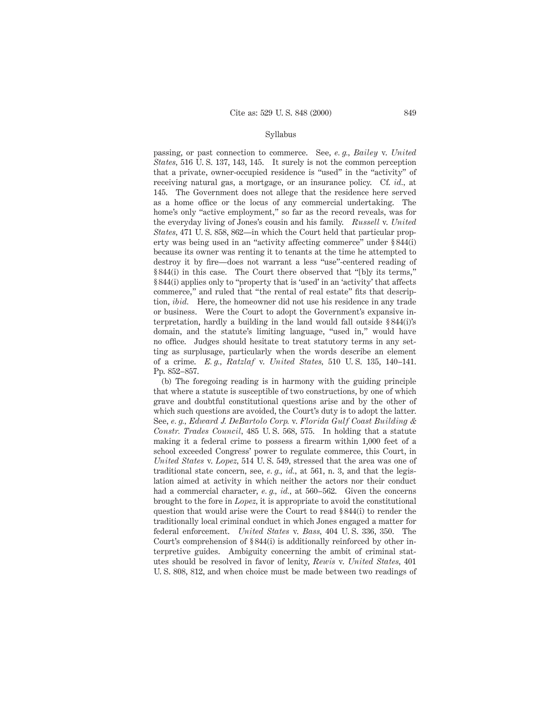## Syllabus

passing, or past connection to commerce. See, *e. g., Bailey* v. *United States,* 516 U. S. 137, 143, 145. It surely is not the common perception that a private, owner-occupied residence is "used" in the "activity" of receiving natural gas, a mortgage, or an insurance policy. Cf. *id.,* at 145. The Government does not allege that the residence here served as a home office or the locus of any commercial undertaking. The home's only "active employment," so far as the record reveals, was for the everyday living of Jones's cousin and his family. *Russell* v. *United States,* 471 U. S. 858, 862—in which the Court held that particular property was being used in an "activity affecting commerce" under § 844(i) because its owner was renting it to tenants at the time he attempted to destroy it by fire—does not warrant a less "use"-centered reading of § 844(i) in this case. The Court there observed that "[b]y its terms," § 844(i) applies only to "property that is 'used' in an 'activity' that affects commerce," and ruled that "the rental of real estate" fits that description, *ibid.* Here, the homeowner did not use his residence in any trade or business. Were the Court to adopt the Government's expansive interpretation, hardly a building in the land would fall outside § 844(i)'s domain, and the statute's limiting language, "used in," would have no office. Judges should hesitate to treat statutory terms in any setting as surplusage, particularly when the words describe an element of a crime. *E. g., Ratzlaf* v. *United States,* 510 U. S. 135, 140–141. Pp. 852–857.

(b) The foregoing reading is in harmony with the guiding principle that where a statute is susceptible of two constructions, by one of which grave and doubtful constitutional questions arise and by the other of which such questions are avoided, the Court's duty is to adopt the latter. See, *e. g., Edward J. DeBartolo Corp.* v. *Florida Gulf Coast Building & Constr. Trades Council,* 485 U. S. 568, 575. In holding that a statute making it a federal crime to possess a firearm within 1,000 feet of a school exceeded Congress' power to regulate commerce, this Court, in *United States* v. *Lopez,* 514 U. S. 549, stressed that the area was one of traditional state concern, see, *e. g., id.,* at 561, n. 3, and that the legislation aimed at activity in which neither the actors nor their conduct had a commercial character, *e. g., id.,* at 560–562. Given the concerns brought to the fore in *Lopez,* it is appropriate to avoid the constitutional question that would arise were the Court to read § 844(i) to render the traditionally local criminal conduct in which Jones engaged a matter for federal enforcement. *United States* v. *Bass,* 404 U. S. 336, 350. The Court's comprehension of § 844(i) is additionally reinforced by other interpretive guides. Ambiguity concerning the ambit of criminal statutes should be resolved in favor of lenity, *Rewis* v. *United States,* 401 U. S. 808, 812, and when choice must be made between two readings of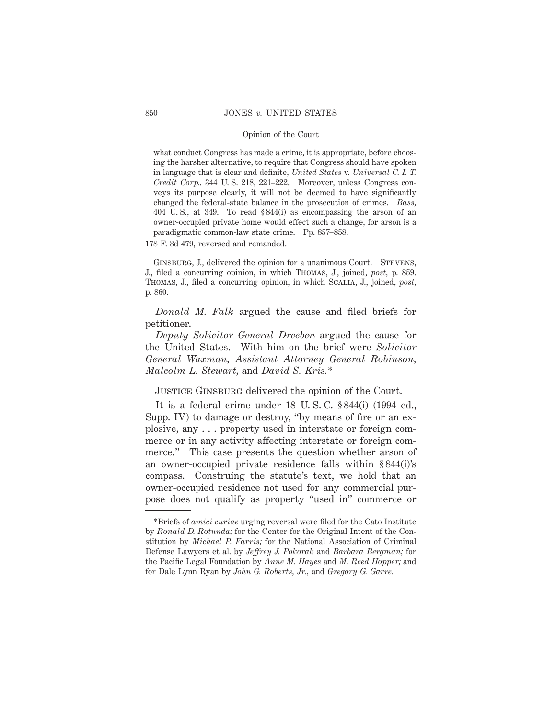what conduct Congress has made a crime, it is appropriate, before choosing the harsher alternative, to require that Congress should have spoken in language that is clear and definite, *United States* v. *Universal C. I. T. Credit Corp.,* 344 U. S. 218, 221–222. Moreover, unless Congress conveys its purpose clearly, it will not be deemed to have significantly changed the federal-state balance in the prosecution of crimes. *Bass,* 404 U. S., at 349. To read § 844(i) as encompassing the arson of an owner-occupied private home would effect such a change, for arson is a paradigmatic common-law state crime. Pp. 857–858.

178 F. 3d 479, reversed and remanded.

GINSBURG, J., delivered the opinion for a unanimous Court. STEVENS, J., filed a concurring opinion, in which Thomas, J., joined, *post,* p. 859. Thomas, J., filed a concurring opinion, in which Scalia, J., joined, *post,* p. 860.

*Donald M. Falk* argued the cause and filed briefs for petitioner.

*Deputy Solicitor General Dreeben* argued the cause for the United States. With him on the brief were *Solicitor General Waxman, Assistant Attorney General Robinson, Malcolm L. Stewart,* and *David S. Kris.\**

JUSTICE GINSBURG delivered the opinion of the Court.

It is a federal crime under 18 U. S. C. § 844(i) (1994 ed., Supp. IV) to damage or destroy, "by means of fire or an explosive, any . . . property used in interstate or foreign commerce or in any activity affecting interstate or foreign commerce." This case presents the question whether arson of an owner-occupied private residence falls within § 844(i)'s compass. Construing the statute's text, we hold that an owner-occupied residence not used for any commercial purpose does not qualify as property "used in" commerce or

<sup>\*</sup>Briefs of *amici curiae* urging reversal were filed for the Cato Institute by *Ronald D. Rotunda;* for the Center for the Original Intent of the Constitution by *Michael P. Farris;* for the National Association of Criminal Defense Lawyers et al. by *Jeffrey J. Pokorak* and *Barbara Bergman;* for the Pacific Legal Foundation by *Anne M. Hayes* and *M. Reed Hopper;* and for Dale Lynn Ryan by *John G. Roberts, Jr.,* and *Gregory G. Garre.*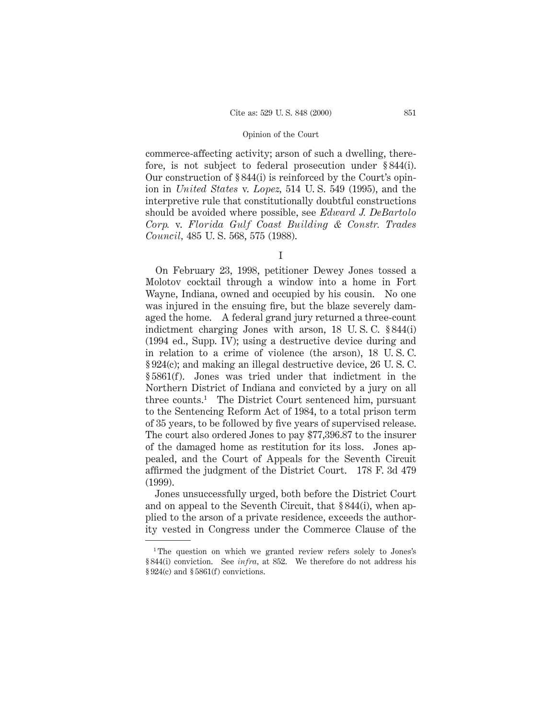commerce-affecting activity; arson of such a dwelling, therefore, is not subject to federal prosecution under § 844(i). Our construction of § 844(i) is reinforced by the Court's opinion in *United States* v. *Lopez,* 514 U. S. 549 (1995), and the interpretive rule that constitutionally doubtful constructions should be avoided where possible, see *Edward J. DeBartolo Corp.* v. *Florida Gulf Coast Building & Constr. Trades Council,* 485 U. S. 568, 575 (1988).

I

On February 23, 1998, petitioner Dewey Jones tossed a Molotov cocktail through a window into a home in Fort Wayne, Indiana, owned and occupied by his cousin. No one was injured in the ensuing fire, but the blaze severely damaged the home. A federal grand jury returned a three-count indictment charging Jones with arson, 18 U. S. C. § 844(i) (1994 ed., Supp. IV); using a destructive device during and in relation to a crime of violence (the arson), 18 U. S. C. § 924(c); and making an illegal destructive device, 26 U. S. C. § 5861(f). Jones was tried under that indictment in the Northern District of Indiana and convicted by a jury on all three counts.1 The District Court sentenced him, pursuant to the Sentencing Reform Act of 1984, to a total prison term of 35 years, to be followed by five years of supervised release. The court also ordered Jones to pay \$77,396.87 to the insurer of the damaged home as restitution for its loss. Jones appealed, and the Court of Appeals for the Seventh Circuit affirmed the judgment of the District Court. 178 F. 3d 479 (1999).

Jones unsuccessfully urged, both before the District Court and on appeal to the Seventh Circuit, that § 844(i), when applied to the arson of a private residence, exceeds the authority vested in Congress under the Commerce Clause of the

<sup>&</sup>lt;sup>1</sup>The question on which we granted review refers solely to Jones's § 844(i) conviction. See *infra,* at 852. We therefore do not address his § 924(c) and § 5861(f) convictions.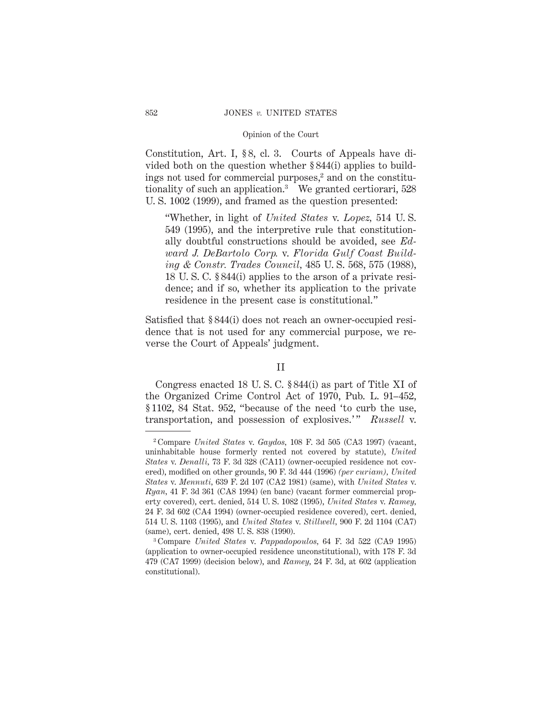Constitution, Art. I, § 8, cl. 3. Courts of Appeals have divided both on the question whether § 844(i) applies to buildings not used for commercial purposes, $2$  and on the constitutionality of such an application.3 We granted certiorari, 528 U. S. 1002 (1999), and framed as the question presented:

"Whether, in light of *United States* v. *Lopez,* 514 U. S. 549 (1995), and the interpretive rule that constitutionally doubtful constructions should be avoided, see *Edward J. DeBartolo Corp.* v. *Florida Gulf Coast Building & Constr. Trades Council,* 485 U. S. 568, 575 (1988), 18 U. S. C. § 844(i) applies to the arson of a private residence; and if so, whether its application to the private residence in the present case is constitutional."

Satisfied that § 844(i) does not reach an owner-occupied residence that is not used for any commercial purpose, we reverse the Court of Appeals' judgment.

# II

Congress enacted 18 U. S. C. § 844(i) as part of Title XI of the Organized Crime Control Act of 1970, Pub. L. 91–452, § 1102, 84 Stat. 952, "because of the need 'to curb the use, transportation, and possession of explosives.'" *Russell* v.

<sup>2</sup> Compare *United States* v. *Gaydos,* 108 F. 3d 505 (CA3 1997) (vacant, uninhabitable house formerly rented not covered by statute), *United States* v. *Denalli,* 73 F. 3d 328 (CA11) (owner-occupied residence not covered), modified on other grounds, 90 F. 3d 444 (1996) *(per curiam), United States* v. *Mennuti,* 639 F. 2d 107 (CA2 1981) (same), with *United States* v. *Ryan,* 41 F. 3d 361 (CA8 1994) (en banc) (vacant former commercial property covered), cert. denied, 514 U. S. 1082 (1995), *United States* v. *Ramey,* 24 F. 3d 602 (CA4 1994) (owner-occupied residence covered), cert. denied, 514 U. S. 1103 (1995), and *United States* v. *Stillwell,* 900 F. 2d 1104 (CA7) (same), cert. denied, 498 U. S. 838 (1990).

<sup>3</sup> Compare *United States* v. *Pappadopoulos,* 64 F. 3d 522 (CA9 1995) (application to owner-occupied residence unconstitutional), with 178 F. 3d 479 (CA7 1999) (decision below), and *Ramey,* 24 F. 3d, at 602 (application constitutional).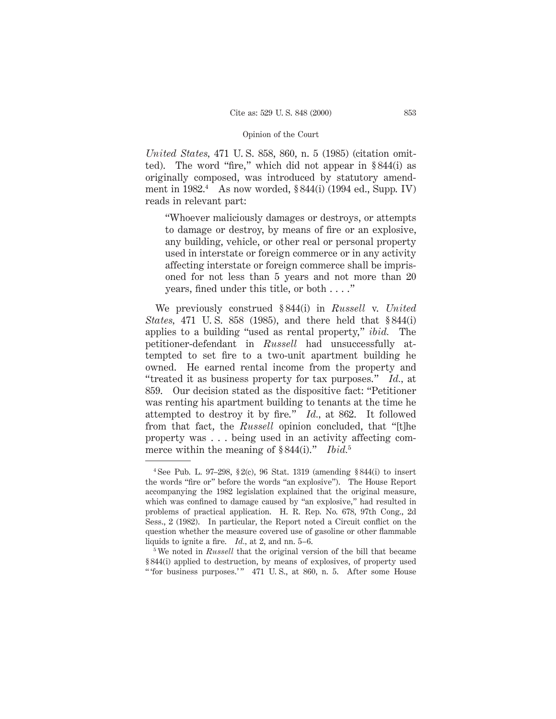*United States,* 471 U. S. 858, 860, n. 5 (1985) (citation omitted). The word "fire," which did not appear in § 844(i) as originally composed, was introduced by statutory amendment in  $1982<sup>4</sup>$  As now worded, § 844(i) (1994 ed., Supp. IV) reads in relevant part:

"Whoever maliciously damages or destroys, or attempts to damage or destroy, by means of fire or an explosive, any building, vehicle, or other real or personal property used in interstate or foreign commerce or in any activity affecting interstate or foreign commerce shall be imprisoned for not less than 5 years and not more than 20 years, fined under this title, or both . . . ."

We previously construed § 844(i) in *Russell* v. *United States,* 471 U. S. 858 (1985), and there held that § 844(i) applies to a building "used as rental property," *ibid.* The petitioner-defendant in *Russell* had unsuccessfully attempted to set fire to a two-unit apartment building he owned. He earned rental income from the property and "treated it as business property for tax purposes." *Id.,* at 859. Our decision stated as the dispositive fact: "Petitioner was renting his apartment building to tenants at the time he attempted to destroy it by fire." *Id.,* at 862. It followed from that fact, the *Russell* opinion concluded, that "[t]he property was . . . being used in an activity affecting commerce within the meaning of § 844(i)." *Ibid.*<sup>5</sup>

<sup>4</sup> See Pub. L. 97–298, § 2(c), 96 Stat. 1319 (amending § 844(i) to insert the words "fire or" before the words "an explosive"). The House Report accompanying the 1982 legislation explained that the original measure, which was confined to damage caused by "an explosive," had resulted in problems of practical application. H. R. Rep. No. 678, 97th Cong., 2d Sess., 2 (1982). In particular, the Report noted a Circuit conflict on the question whether the measure covered use of gasoline or other flammable liquids to ignite a fire. *Id.,* at 2, and nn. 5–6.

<sup>5</sup> We noted in *Russell* that the original version of the bill that became § 844(i) applied to destruction, by means of explosives, of property used " 'for business purposes.'" 471 U.S., at 860, n. 5. After some House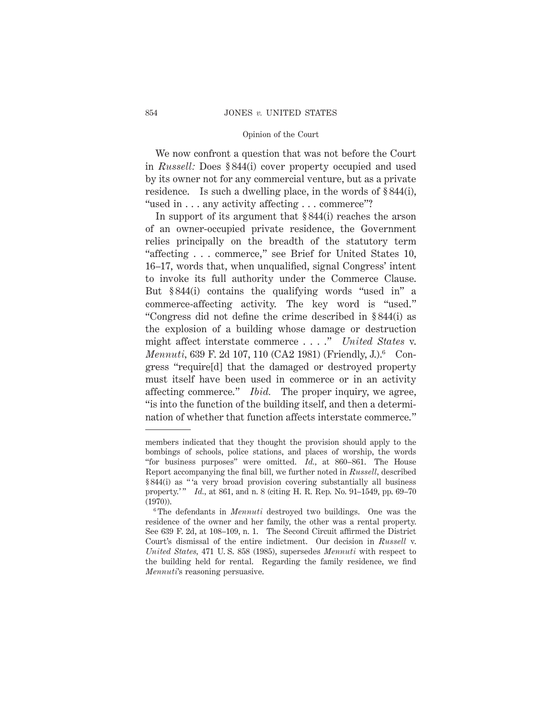We now confront a question that was not before the Court in *Russell:* Does § 844(i) cover property occupied and used by its owner not for any commercial venture, but as a private residence. Is such a dwelling place, in the words of § 844(i), "used in . . . any activity affecting . . . commerce"?

In support of its argument that § 844(i) reaches the arson of an owner-occupied private residence, the Government relies principally on the breadth of the statutory term "affecting... commerce," see Brief for United States 10, 16–17, words that, when unqualified, signal Congress' intent to invoke its full authority under the Commerce Clause. But § 844(i) contains the qualifying words "used in" a commerce-affecting activity. The key word is "used." "Congress did not define the crime described in § 844(i) as the explosion of a building whose damage or destruction might affect interstate commerce . . . ." *United States* v. *Mennuti,* 639 F. 2d 107, 110 (CA2 1981) (Friendly, J.).<sup>6</sup> Congress "require[d] that the damaged or destroyed property must itself have been used in commerce or in an activity affecting commerce." *Ibid.* The proper inquiry, we agree, "is into the function of the building itself, and then a determination of whether that function affects interstate commerce."

members indicated that they thought the provision should apply to the bombings of schools, police stations, and places of worship, the words "for business purposes" were omitted. *Id.,* at 860–861. The House Report accompanying the final bill, we further noted in *Russell,* described § 844(i) as " 'a very broad provision covering substantially all business property.'" *Id.*, at 861, and n. 8 (citing H. R. Rep. No. 91-1549, pp. 69-70) (1970)).

<sup>6</sup> The defendants in *Mennuti* destroyed two buildings. One was the residence of the owner and her family, the other was a rental property. See 639 F. 2d, at 108–109, n. 1. The Second Circuit affirmed the District Court's dismissal of the entire indictment. Our decision in *Russell* v. *United States,* 471 U. S. 858 (1985), supersedes *Mennuti* with respect to the building held for rental. Regarding the family residence, we find *Mennuti*'s reasoning persuasive.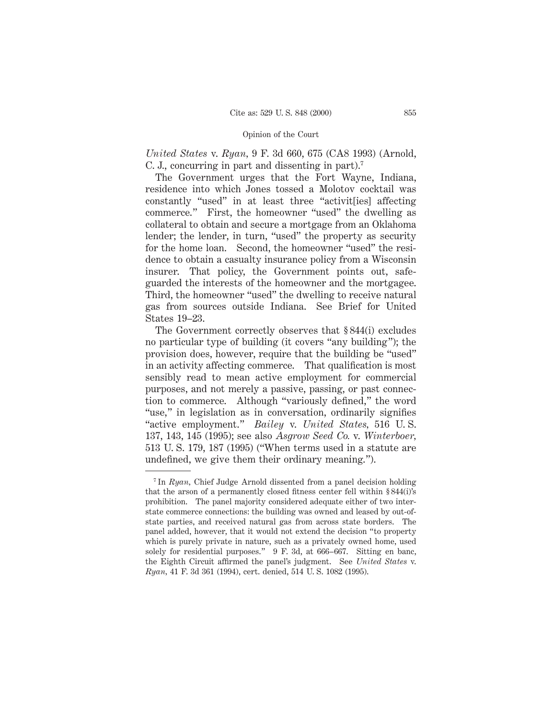*United States* v. *Ryan,* 9 F. 3d 660, 675 (CA8 1993) (Arnold, C. J., concurring in part and dissenting in part).7

The Government urges that the Fort Wayne, Indiana, residence into which Jones tossed a Molotov cocktail was constantly "used" in at least three "activit[ies] affecting commerce." First, the homeowner "used" the dwelling as collateral to obtain and secure a mortgage from an Oklahoma lender; the lender, in turn, "used" the property as security for the home loan. Second, the homeowner "used" the residence to obtain a casualty insurance policy from a Wisconsin insurer. That policy, the Government points out, safeguarded the interests of the homeowner and the mortgagee. Third, the homeowner "used" the dwelling to receive natural gas from sources outside Indiana. See Brief for United States 19–23.

The Government correctly observes that § 844(i) excludes no particular type of building (it covers "any building"); the provision does, however, require that the building be "used" in an activity affecting commerce. That qualification is most sensibly read to mean active employment for commercial purposes, and not merely a passive, passing, or past connection to commerce. Although "variously defined," the word "use," in legislation as in conversation, ordinarily signifies "active employment." *Bailey* v. *United States,* 516 U. S. 137, 143, 145 (1995); see also *Asgrow Seed Co.* v. *Winterboer,* 513 U. S. 179, 187 (1995) ("When terms used in a statute are undefined, we give them their ordinary meaning.").

<sup>&</sup>lt;sup>7</sup> In *Ruan*, Chief Judge Arnold dissented from a panel decision holding that the arson of a permanently closed fitness center fell within § 844(i)'s prohibition. The panel majority considered adequate either of two interstate commerce connections: the building was owned and leased by out-ofstate parties, and received natural gas from across state borders. The panel added, however, that it would not extend the decision "to property which is purely private in nature, such as a privately owned home, used solely for residential purposes." 9 F. 3d, at 666–667. Sitting en banc, the Eighth Circuit affirmed the panel's judgment. See *United States* v. *Ryan,* 41 F. 3d 361 (1994), cert. denied, 514 U. S. 1082 (1995).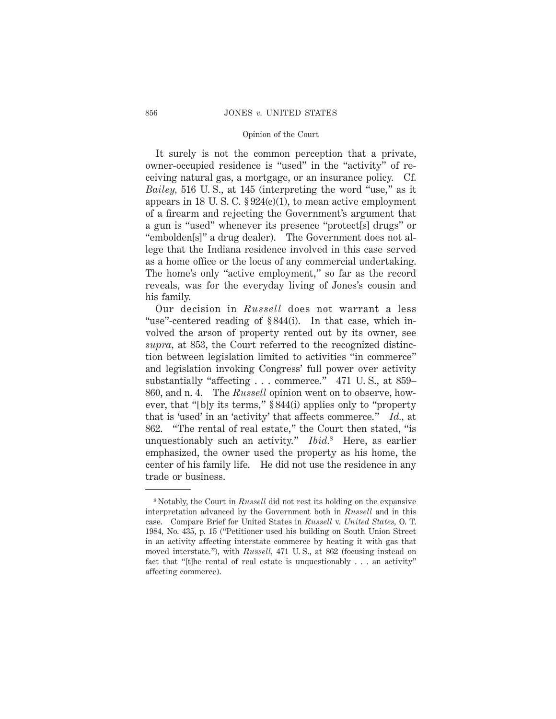It surely is not the common perception that a private, owner-occupied residence is "used" in the "activity" of receiving natural gas, a mortgage, or an insurance policy. Cf. *Bailey,* 516 U. S., at 145 (interpreting the word "use," as it appears in 18 U.S.C.  $$924(c)(1)$ , to mean active employment of a firearm and rejecting the Government's argument that a gun is "used" whenever its presence "protect[s] drugs" or "embolden[s]" a drug dealer). The Government does not allege that the Indiana residence involved in this case served as a home office or the locus of any commercial undertaking. The home's only "active employment," so far as the record reveals, was for the everyday living of Jones's cousin and his family.

Our decision in *Russell* does not warrant a less "use"-centered reading of § 844(i). In that case, which involved the arson of property rented out by its owner, see *supra,* at 853, the Court referred to the recognized distinction between legislation limited to activities "in commerce" and legislation invoking Congress' full power over activity substantially "affecting . . . commerce." 471 U. S., at 859– 860, and n. 4. The *Russell* opinion went on to observe, however, that "[b]y its terms," § 844(i) applies only to "property that is 'used' in an 'activity' that affects commerce." *Id.,* at 862. "The rental of real estate," the Court then stated, "is unquestionably such an activity." *Ibid.*<sup>8</sup> Here, as earlier emphasized, the owner used the property as his home, the center of his family life. He did not use the residence in any trade or business.

<sup>8</sup> Notably, the Court in *Russell* did not rest its holding on the expansive interpretation advanced by the Government both in *Russell* and in this case. Compare Brief for United States in *Russell* v. *United States,* O. T. 1984, No. 435, p. 15 ("Petitioner used his building on South Union Street in an activity affecting interstate commerce by heating it with gas that moved interstate."), with *Russell,* 471 U. S., at 862 (focusing instead on fact that "[t]he rental of real estate is unquestionably . . . an activity" affecting commerce).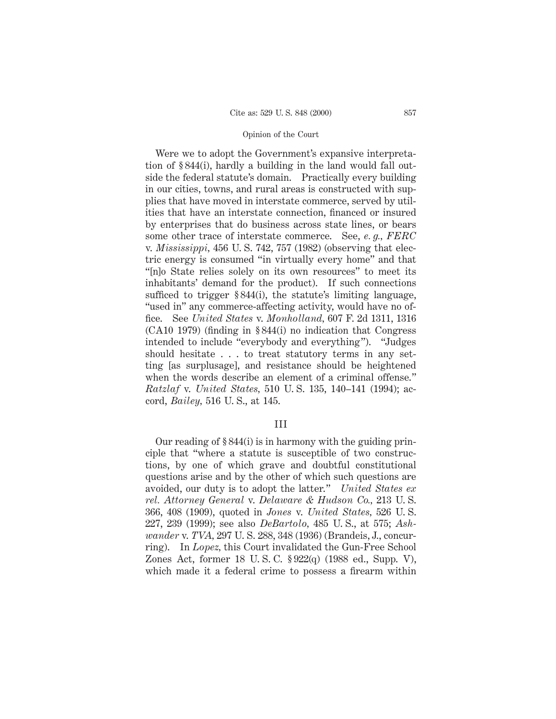Were we to adopt the Government's expansive interpretation of § 844(i), hardly a building in the land would fall outside the federal statute's domain. Practically every building in our cities, towns, and rural areas is constructed with supplies that have moved in interstate commerce, served by utilities that have an interstate connection, financed or insured by enterprises that do business across state lines, or bears some other trace of interstate commerce. See, *e. g., FERC* v. *Mississippi,* 456 U. S. 742, 757 (1982) (observing that electric energy is consumed "in virtually every home" and that "[n]o State relies solely on its own resources" to meet its inhabitants' demand for the product). If such connections sufficed to trigger § 844(i), the statute's limiting language, "used in" any commerce-affecting activity, would have no office. See *United States* v. *Monholland,* 607 F. 2d 1311, 1316 (CA10 1979) (finding in § 844(i) no indication that Congress intended to include "everybody and everything"). "Judges should hesitate . . . to treat statutory terms in any setting [as surplusage], and resistance should be heightened when the words describe an element of a criminal offense." *Ratzlaf* v. *United States,* 510 U. S. 135, 140–141 (1994); accord, *Bailey,* 516 U. S., at 145.

# III

Our reading of § 844(i) is in harmony with the guiding principle that "where a statute is susceptible of two constructions, by one of which grave and doubtful constitutional questions arise and by the other of which such questions are avoided, our duty is to adopt the latter." *United States ex rel. Attorney General* v. *Delaware & Hudson Co.,* 213 U. S. 366, 408 (1909), quoted in *Jones* v. *United States,* 526 U. S. 227, 239 (1999); see also *DeBartolo,* 485 U. S., at 575; *Ashwander* v. *TVA,* 297 U. S. 288, 348 (1936) (Brandeis, J., concurring). In *Lopez,* this Court invalidated the Gun-Free School Zones Act, former 18 U. S. C. § 922(q) (1988 ed., Supp. V), which made it a federal crime to possess a firearm within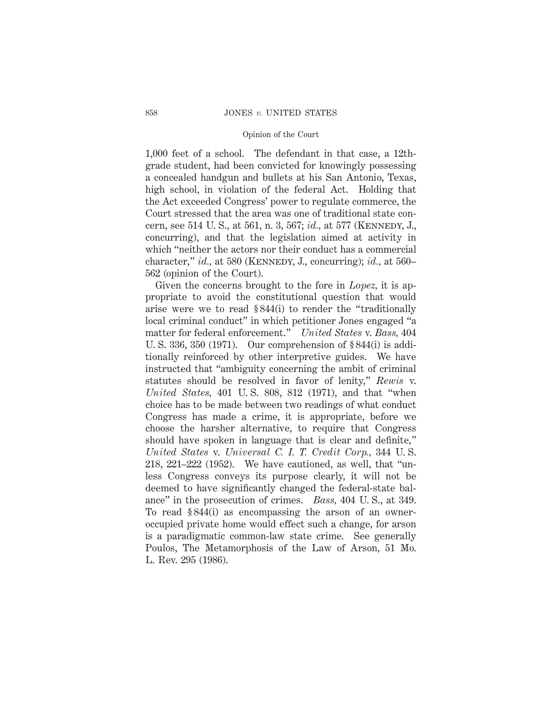1,000 feet of a school. The defendant in that case, a 12thgrade student, had been convicted for knowingly possessing a concealed handgun and bullets at his San Antonio, Texas, high school, in violation of the federal Act. Holding that the Act exceeded Congress' power to regulate commerce, the Court stressed that the area was one of traditional state concern, see 514 U. S., at 561, n. 3, 567; *id.,* at 577 (Kennedy, J., concurring), and that the legislation aimed at activity in which "neither the actors nor their conduct has a commercial character," *id.,* at 580 (Kennedy, J., concurring); *id.,* at 560– 562 (opinion of the Court).

Given the concerns brought to the fore in *Lopez,* it is appropriate to avoid the constitutional question that would arise were we to read § 844(i) to render the "traditionally local criminal conduct" in which petitioner Jones engaged "a matter for federal enforcement." *United States* v. *Bass,* 404 U. S. 336, 350 (1971). Our comprehension of § 844(i) is additionally reinforced by other interpretive guides. We have instructed that "ambiguity concerning the ambit of criminal statutes should be resolved in favor of lenity," *Rewis* v. *United States,* 401 U. S. 808, 812 (1971), and that "when choice has to be made between two readings of what conduct Congress has made a crime, it is appropriate, before we choose the harsher alternative, to require that Congress should have spoken in language that is clear and definite," *United States* v. *Universal C. I. T. Credit Corp.,* 344 U. S. 218, 221–222 (1952). We have cautioned, as well, that "unless Congress conveys its purpose clearly, it will not be deemed to have significantly changed the federal-state balance" in the prosecution of crimes. *Bass,* 404 U. S., at 349. To read § 844(i) as encompassing the arson of an owneroccupied private home would effect such a change, for arson is a paradigmatic common-law state crime. See generally Poulos, The Metamorphosis of the Law of Arson, 51 Mo. L. Rev. 295 (1986).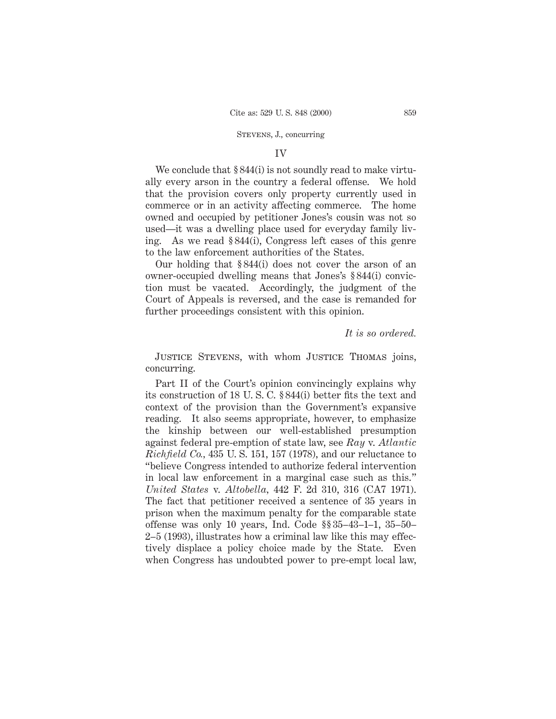# STEVENS, J., concurring

## IV

We conclude that  $\S 844(i)$  is not soundly read to make virtually every arson in the country a federal offense. We hold that the provision covers only property currently used in commerce or in an activity affecting commerce. The home owned and occupied by petitioner Jones's cousin was not so used—it was a dwelling place used for everyday family living. As we read § 844(i), Congress left cases of this genre to the law enforcement authorities of the States.

Our holding that § 844(i) does not cover the arson of an owner-occupied dwelling means that Jones's § 844(i) conviction must be vacated. Accordingly, the judgment of the Court of Appeals is reversed, and the case is remanded for further proceedings consistent with this opinion.

*It is so ordered.*

Justice Stevens, with whom Justice Thomas joins, concurring.

Part II of the Court's opinion convincingly explains why its construction of 18 U. S. C. § 844(i) better fits the text and context of the provision than the Government's expansive reading. It also seems appropriate, however, to emphasize the kinship between our well-established presumption against federal pre-emption of state law, see *Ray* v. *Atlantic Richfield Co.,* 435 U. S. 151, 157 (1978), and our reluctance to "believe Congress intended to authorize federal intervention in local law enforcement in a marginal case such as this." *United States* v. *Altobella,* 442 F. 2d 310, 316 (CA7 1971). The fact that petitioner received a sentence of 35 years in prison when the maximum penalty for the comparable state offense was only 10 years, Ind. Code §§ 35–43–1–1, 35–50– 2–5 (1993), illustrates how a criminal law like this may effectively displace a policy choice made by the State. Even when Congress has undoubted power to pre-empt local law,